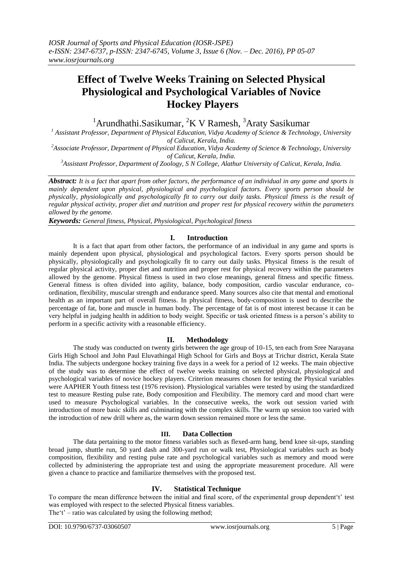# **Effect of Twelve Weeks Training on Selected Physical Physiological and Psychological Variables of Novice Hockey Players**

 $1$ Arundhathi.Sasikumar,  ${}^{2}$ K V Ramesh,  ${}^{3}$ Araty Sasikumar

*<sup>1</sup> Assistant Professor, Department of Physical Education, Vidya Academy of Science & Technology, University of Calicut, Kerala, India.*

*<sup>2</sup>Associate Professor, Department of Physical Education, Vidya Academy of Science & Technology, University of Calicut, Kerala, India.*

*<sup>3</sup>Assistant Professor, Department of Zoology, S N College, Alathur University of Calicut, Kerala, India.*

*Abstract: It is a fact that apart from other factors, the performance of an individual in any game and sports is mainly dependent upon physical, physiological and psychological factors. Every sports person should be physically, physiologically and psychologically fit to carry out daily tasks. Physical fitness is the result of regular physical activity, proper diet and nutrition and proper rest for physical recovery within the parameters allowed by the genome.*

*Keywords: General fitness, Physical, Physiological, Psychological fitness*

## **I. Introduction**

It is a fact that apart from other factors, the performance of an individual in any game and sports is mainly dependent upon physical, physiological and psychological factors. Every sports person should be physically, physiologically and psychologically fit to carry out daily tasks. Physical fitness is the result of regular physical activity, proper diet and nutrition and proper rest for physical recovery within the parameters allowed by the genome. Physical fitness is used in two close meanings, general fitness and specific fitness. General fitness is often divided into agility, balance, body composition, cardio vascular endurance, coordination, flexibility, muscular strength and endurance speed. Many sources also cite that mental and emotional health as an important part of overall fitness. In physical fitness, body-composition is used to describe the percentage of fat, bone and muscle in human body. The percentage of fat is of most interest because it can be very helpful in judging health in addition to body weight. Specific or task oriented fitness is a person"s ability to perform in a specific activity with a reasonable efficiency.

### **II. Methodology**

The study was conducted on twenty girls between the age group of 10-15, ten each from Sree Narayana Girls High School and John Paul Eluvathingal High School for Girls and Boys at Trichur district, Kerala State India. The subjects undergone hockey training five days in a week for a period of 12 weeks. The main objective of the study was to determine the effect of twelve weeks training on selected physical, physiological and psychological variables of novice hockey players. Criterion measures chosen for testing the Physical variables were AAPHER Youth fitness test (1976 revision). Physiological variables were tested by using the standardized test to measure Resting pulse rate, Body composition and Flexibility. The memory card and mood chart were used to measure Psychological variables. In the consecutive weeks, the work out session varied with introduction of more basic skills and culminating with the complex skills. The warm up session too varied with the introduction of new drill where as, the warm down session remained more or less the same.

### **III. Data Collection**

The data pertaining to the motor fitness variables such as flexed-arm hang, bend knee sit-ups, standing broad jump, shuttle run, 50 yard dash and 300-yard run or walk test, Physiological variables such as body composition, flexibility and resting pulse rate and psychological variables such as memory and mood were collected by administering the appropriate test and using the appropriate measurement procedure. All were given a chance to practice and familiarize themselves with the proposed test.

### **IV. Statistical Technique**

To compare the mean difference between the initial and final score, of the experimental group dependent't' test was employed with respect to the selected Physical fitness variables. The  $t'$  – ratio was calculated by using the following method;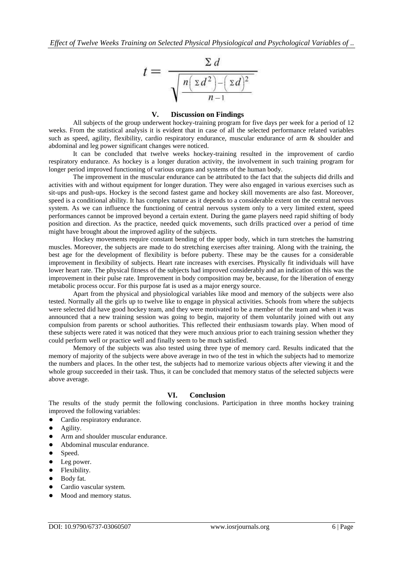

#### **V. Discussion on Findings**

All subjects of the group underwent hockey-training program for five days per week for a period of 12 weeks. From the statistical analysis it is evident that in case of all the selected performance related variables such as speed, agility, flexibility, cardio respiratory endurance, muscular endurance of arm & shoulder and abdominal and leg power significant changes were noticed.

It can be concluded that twelve weeks hockey-training resulted in the improvement of cardio respiratory endurance. As hockey is a longer duration activity, the involvement in such training program for longer period improved functioning of various organs and systems of the human body.

The improvement in the muscular endurance can be attributed to the fact that the subjects did drills and activities with and without equipment for longer duration. They were also engaged in various exercises such as sit-ups and push-ups. Hockey is the second fastest game and hockey skill movements are also fast. Moreover, speed is a conditional ability. It has complex nature as it depends to a considerable extent on the central nervous system. As we can influence the functioning of central nervous system only to a very limited extent, speed performances cannot be improved beyond a certain extent. During the game players need rapid shifting of body position and direction. As the practice, needed quick movements, such drills practiced over a period of time might have brought about the improved agility of the subjects.

Hockey movements require constant bending of the upper body, which in turn stretches the hamstring muscles. Moreover, the subjects are made to do stretching exercises after training. Along with the training, the best age for the development of flexibility is before puberty. These may be the causes for a considerable improvement in flexibility of subjects. Heart rate increases with exercises. Physically fit individuals will have lower heart rate. The physical fitness of the subjects had improved considerably and an indication of this was the improvement in their pulse rate. Improvement in body composition may be, because, for the liberation of energy metabolic process occur. For this purpose fat is used as a major energy source.

Apart from the physical and physiological variables like mood and memory of the subjects were also tested. Normally all the girls up to twelve like to engage in physical activities. Schools from where the subjects were selected did have good hockey team, and they were motivated to be a member of the team and when it was announced that a new training session was going to begin, majority of them voluntarily joined with out any compulsion from parents or school authorities. This reflected their enthusiasm towards play. When mood of these subjects were rated it was noticed that they were much anxious prior to each training session whether they could perform well or practice well and finally seem to be much satisfied.

Memory of the subjects was also tested using three type of memory card. Results indicated that the memory of majority of the subjects were above average in two of the test in which the subjects had to memorize the numbers and places. In the other test, the subjects had to memorize various objects after viewing it and the whole group succeeded in their task. Thus, it can be concluded that memory status of the selected subjects were above average.

### **VI. Conclusion**

The results of the study permit the following conclusions. Participation in three months hockey training improved the following variables:

- Cardio respiratory endurance.
- Agility.
- Arm and shoulder muscular endurance.
- Abdominal muscular endurance.
- Speed.
- Leg power.
- Flexibility.
- Body fat.
- Cardio vascular system.
- Mood and memory status.